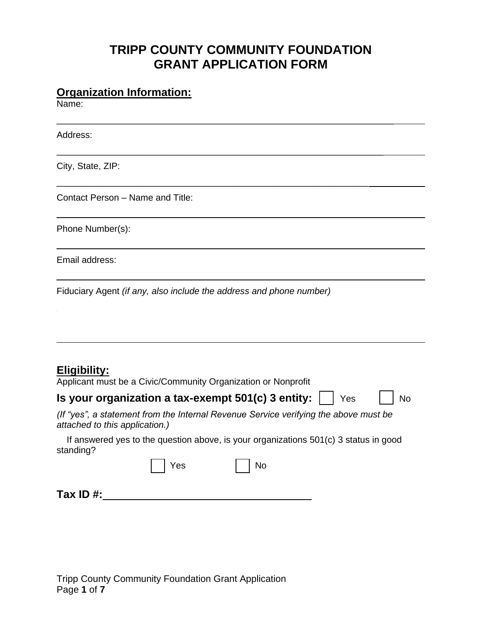# **TRIPP COUNTY COMMUNITY FOUNDATION GRANT APPLICATION FORM**

\_\_\_\_\_\_\_\_\_\_\_\_\_\_\_\_\_\_\_\_\_\_\_\_\_\_\_\_\_\_\_\_\_\_\_\_\_\_\_\_\_\_\_\_\_\_\_\_\_\_\_\_\_\_\_\_\_\_\_\_\_\_\_\_\_\_\_

\_\_\_\_\_\_\_\_\_\_\_\_\_\_\_\_\_\_\_\_\_\_\_\_\_\_\_\_\_\_\_\_\_\_\_\_\_\_\_\_\_\_\_\_\_\_\_\_\_\_\_\_\_\_\_\_\_\_\_\_\_\_\_\_\_

\_\_\_\_\_\_\_\_\_\_\_\_\_\_\_\_\_\_\_\_\_\_\_\_\_\_\_\_\_\_\_\_\_\_\_\_\_\_\_\_\_\_\_\_\_\_\_\_\_\_\_\_\_\_\_\_\_\_\_\_\_\_

### **Organization Information:**

Name:

Address:

City, State, ZIP:

Contact Person – Name and Title:

Phone Number(s):

Email address:

Fiduciary Agent *(if any, also include the address and phone number)*

# **Eligibility:**

| Applicant must be a Civic/Community Organization or Nonprofit |                         |
|---------------------------------------------------------------|-------------------------|
| Is your organization a tax-exempt 501(c) 3 entity: $\Box$ Yes | $\frac{1}{\sqrt{2}}$ No |

# *(If "yes", a statement from the Internal Revenue Service verifying the above must be attached to this application.)*

 If answered yes to the question above, is your organizations 501(c) 3 status in good standing?

|              | Yes | $\mid$ No |  |
|--------------|-----|-----------|--|
| Tax ID $#$ : |     |           |  |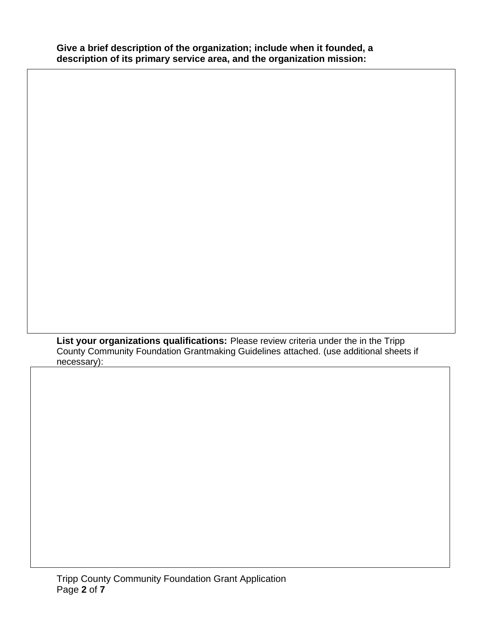**List your organizations qualifications:** Please review criteria under the in the Tripp County Community Foundation Grantmaking Guidelines attached. (use additional sheets if necessary):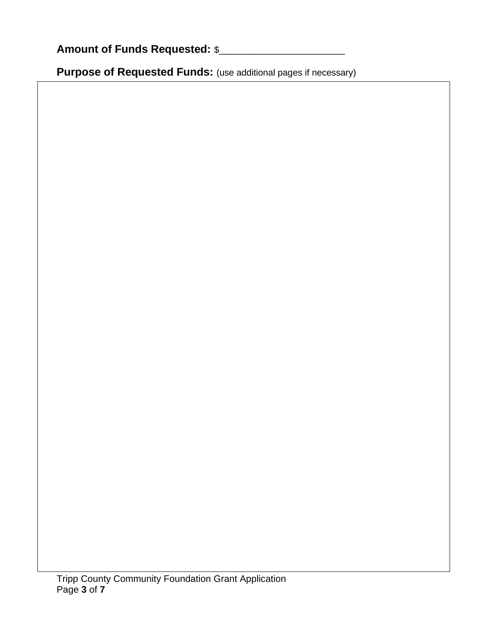| <b>Amount of Funds Requested: \$</b> |  |
|--------------------------------------|--|
|--------------------------------------|--|

Purpose of Requested Funds: (use additional pages if necessary)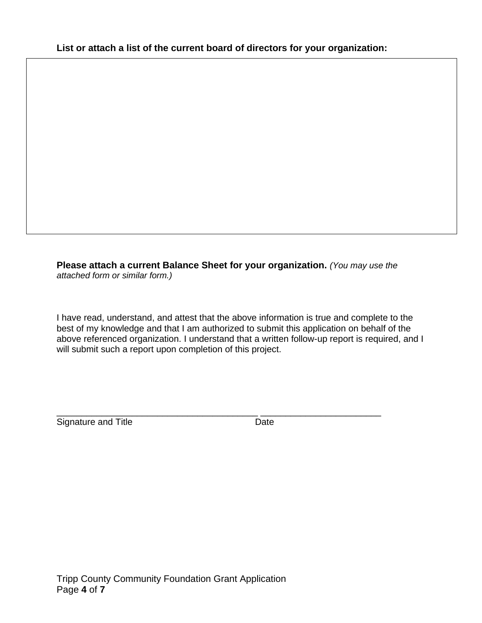**Please attach a current Balance Sheet for your organization.** *(You may use the attached form or similar form.)*

I have read, understand, and attest that the above information is true and complete to the best of my knowledge and that I am authorized to submit this application on behalf of the above referenced organization. I understand that a written follow-up report is required, and I will submit such a report upon completion of this project.

\_\_\_\_\_\_\_\_\_\_\_\_\_\_\_\_\_\_\_\_\_\_\_\_\_\_\_\_\_\_\_\_\_\_\_\_\_\_\_\_ \_\_\_\_\_\_\_\_\_\_\_\_\_\_\_\_\_\_\_\_\_\_\_\_ Signature and Title **Date** Date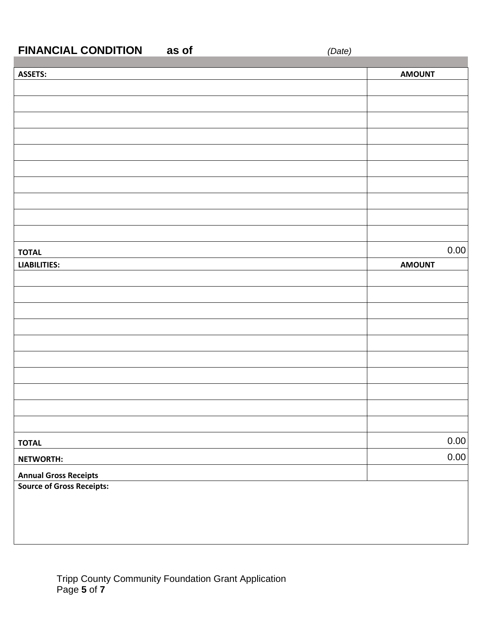# **FINANCIAL CONDITION as of** *(Date)*

| <b>ASSETS:</b>                   | <b>AMOUNT</b> |      |
|----------------------------------|---------------|------|
|                                  |               |      |
|                                  |               |      |
|                                  |               |      |
|                                  |               |      |
|                                  |               |      |
|                                  |               |      |
|                                  |               |      |
|                                  |               |      |
|                                  |               |      |
|                                  |               |      |
| <b>TOTAL</b>                     |               | 0.00 |
| <b>LIABILITIES:</b>              | <b>AMOUNT</b> |      |
|                                  |               |      |
|                                  |               |      |
|                                  |               |      |
|                                  |               |      |
|                                  |               |      |
|                                  |               |      |
|                                  |               |      |
|                                  |               |      |
|                                  |               |      |
|                                  |               |      |
| <b>TOTAL</b>                     |               | 0.00 |
| NETWORTH:                        |               | 0.00 |
| <b>Annual Gross Receipts</b>     |               |      |
| <b>Source of Gross Receipts:</b> |               |      |
|                                  |               |      |
|                                  |               |      |
|                                  |               |      |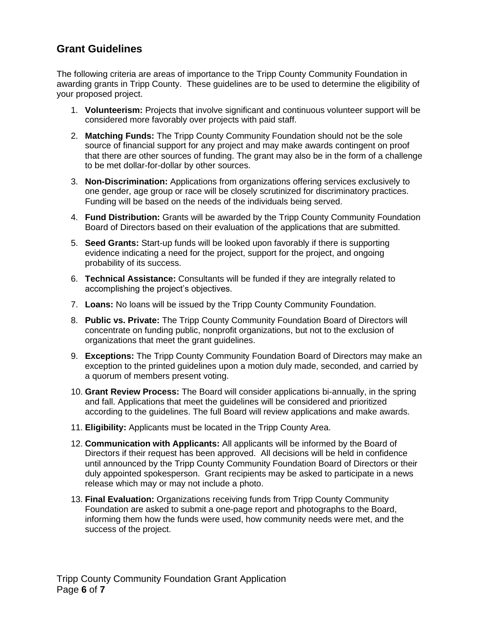## **Grant Guidelines**

The following criteria are areas of importance to the Tripp County Community Foundation in awarding grants in Tripp County. These guidelines are to be used to determine the eligibility of your proposed project.

- 1. **Volunteerism:** Projects that involve significant and continuous volunteer support will be considered more favorably over projects with paid staff.
- 2. **Matching Funds:** The Tripp County Community Foundation should not be the sole source of financial support for any project and may make awards contingent on proof that there are other sources of funding. The grant may also be in the form of a challenge to be met dollar-for-dollar by other sources.
- 3. **Non-Discrimination:** Applications from organizations offering services exclusively to one gender, age group or race will be closely scrutinized for discriminatory practices. Funding will be based on the needs of the individuals being served.
- 4. **Fund Distribution:** Grants will be awarded by the Tripp County Community Foundation Board of Directors based on their evaluation of the applications that are submitted.
- 5. **Seed Grants:** Start-up funds will be looked upon favorably if there is supporting evidence indicating a need for the project, support for the project, and ongoing probability of its success.
- 6. **Technical Assistance:** Consultants will be funded if they are integrally related to accomplishing the project's objectives.
- 7. **Loans:** No loans will be issued by the Tripp County Community Foundation.
- 8. **Public vs. Private:** The Tripp County Community Foundation Board of Directors will concentrate on funding public, nonprofit organizations, but not to the exclusion of organizations that meet the grant guidelines.
- 9. **Exceptions:** The Tripp County Community Foundation Board of Directors may make an exception to the printed guidelines upon a motion duly made, seconded, and carried by a quorum of members present voting.
- 10. **Grant Review Process:** The Board will consider applications bi-annually, in the spring and fall. Applications that meet the guidelines will be considered and prioritized according to the guidelines. The full Board will review applications and make awards.
- 11. **Eligibility:** Applicants must be located in the Tripp County Area.
- 12. **Communication with Applicants:** All applicants will be informed by the Board of Directors if their request has been approved. All decisions will be held in confidence until announced by the Tripp County Community Foundation Board of Directors or their duly appointed spokesperson. Grant recipients may be asked to participate in a news release which may or may not include a photo.
- 13. **Final Evaluation:** Organizations receiving funds from Tripp County Community Foundation are asked to submit a one-page report and photographs to the Board, informing them how the funds were used, how community needs were met, and the success of the project.